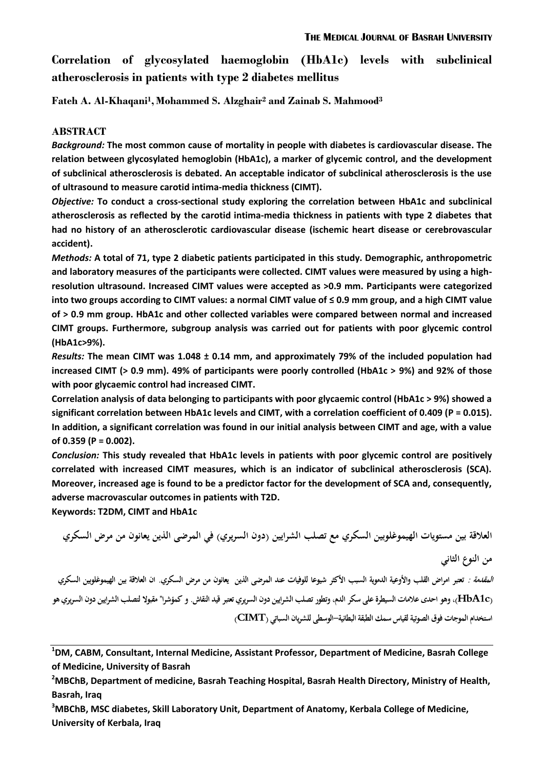**Correlation of glycosylated haemoglobin (HbA1c) levels with subclinical atherosclerosis in patients with type 2 diabetes mellitus**

**Fateh A. Al-Khaqani<sup>1</sup> , Mohammed S. Alzghair<sup>2</sup> and Zainab S. Mahmood<sup>3</sup>**

#### **ABSTRACT**

*Background:* **The most common cause of mortality in people with diabetes is cardiovascular disease. The relation between glycosylated hemoglobin (HbA1c), a marker of glycemic control, and the development of subclinical atherosclerosis is debated. An acceptable indicator of subclinical atherosclerosis is the use of ultrasound to measure carotid intima-media thickness (CIMT).**

*Objective:* **To conduct a cross-sectional study exploring the correlation between HbA1c and subclinical atherosclerosis as reflected by the carotid intima-media thickness in patients with type 2 diabetes that had no history of an atherosclerotic cardiovascular disease (ischemic heart disease or cerebrovascular accident).**

*Methods:* **A total of 71, type 2 diabetic patients participated in this study. Demographic, anthropometric and laboratory measures of the participants were collected. CIMT values were measured by using a highresolution ultrasound. Increased CIMT values were accepted as >0.9 mm. Participants were categorized into two groups according to CIMT values: a normal CIMT value of ≤ 0.9 mm group, and a high CIMT value of > 0.9 mm group. HbA1c and other collected variables were compared between normal and increased CIMT groups. Furthermore, subgroup analysis was carried out for patients with poor glycemic control (HbA1c>9%).**

*Results:* **The mean CIMT was 1.048 ± 0.14 mm, and approximately 79% of the included population had increased CIMT (> 0.9 mm). 49% of participants were poorly controlled (HbA1c > 9%) and 92% of those with poor glycaemic control had increased CIMT.** 

**Correlation analysis of data belonging to participants with poor glycaemic control (HbA1c > 9%) showed a significant correlation between HbA1c levels and CIMT, with a correlation coefficient of 0.409 (P = 0.015). In addition, a significant correlation was found in our initial analysis between CIMT and age, with a value of 0.359 (P = 0.002).**

*Conclusion:* **This study revealed that HbA1c levels in patients with poor glycemic control are positively correlated with increased CIMT measures, which is an indicator of subclinical atherosclerosis (SCA). Moreover, increased age is found to be a predictor factor for the development of SCA and, consequently, adverse macrovascular outcomes in patients with T2D.**

**Keywords: T2DM, CIMT and HbA1c**

**العالقة بين مستويات الهيموغلوبين السكري مع تصلب الشرايين )دون السريري( في المرضى الذين يعانون من مرض السكري من النوع الثاني المقدمة : تعتبر امراض القلب واألوعية الدموية السبب األكثر شيوعا للوفيات عند المرضى الذين يعانون من مرض السكري. ان العالقة بين الهيموغلوبين السكري (c1HbA(، وىو احدى عالمات السيطرة على سكر الدم، وتطور تصلب الشرايين دون السريري تعتبر قيد النقاش. و كمؤشرا" مقبوال لتصلب الشرايين دون السريري ىو استخدام الموجات فوق الصوتية لقياس سمك الطبقة البطانية-الوسطى للشريان السباتي (CIMT(**

**<sup>1</sup>DM, CABM, Consultant, Internal Medicine, Assistant Professor, Department of Medicine, Basrah College of Medicine, University of Basrah**

**<sup>3</sup>MBChB, MSC diabetes, Skill Laboratory Unit, Department of Anatomy, Kerbala College of Medicine, University of Kerbala, Iraq**

**<sup>2</sup>MBChB, Department of medicine, Basrah Teaching Hospital, Basrah Health Directory, Ministry of Health, Basrah, Iraq**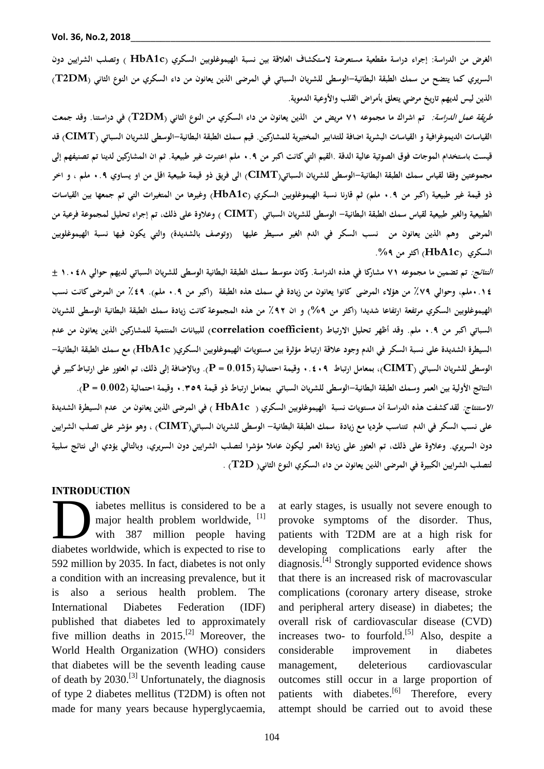**الغرض من الدراسة: إجراء دراسة مقطعية مستعرضة الستكشاف العالقة بين نسبة الهيموغلوبين السكري )c1HbA ( وتصلب الشرايين دون السريري كما يتضح من سمك الطبقة البطانية-الوسطى للشريان السباتي في المرضى الذين يعانون من داء السكري من النوع الثاني (DM2T ) الذين ليس لديهم تاريخ مرضي يتعلق بأمراض القلب واألوعية الدموية.**

**طريقة عمل الدراسة: تم اشراك ما مجموعو 17 مريض من الذين يعانون من داء السكري من النوع الثاني (DM2T (في دراستنا. وقد جمعت القياسات الديموغرافية و القياسات البشرية اضافة للتدابير المختبرية للمشاركين. قيم سمك الطبقة البطانية-الوسطى للشريان السباتي )CIMT (قد قيست باستخدام المو جات فوق الصوتية عالية الدقة .القيم التي كانت اكبر من 9.0 ملم اعتبرت غير طبيعية. ثم ان المشاركين لدينا تم تصنيفهم إلى مجموعتين وفقا لقياس سمك الطبقة البطانية-الوسطى للشريان السباتي)CIMT (الى فريق ذو قيمة طبيعية اقل من او يساوي 9.0 ملم ، و اخر ذو قيمة غير طبيعية )اكبر من 9.0 ملم( ثم قارنا نسبة الهيموغلوبين السكري (c1HbA (وغيرىا من المتغيرات التي تم جمعها بين القياسات الطبيعية والغير طبيعية لقياس سمك الطبقة البطانية- الوسطى للشريان السباتي (CIMT ) وعالوة على ذلك، تم إجراء تحليل لمجموعة فرعية من**  المرضى وهم الذين يعانون من نسب السكر في الدم الغير مسيطر عليها (وتوصف بالشديدة) والتي يكون فيها نسبة الهيموغلوبين **السكري (c1HbA (اكثر من .%0**

**النتائج: تم تضمين ما مجموعو 17 مشاركا في ىذه الدراسة. وكان متوسط سمك الطبقة البطانية الوسطى للشريان السباتي لديهم حوالي 7.984 ± 9.78ملم، وحوالي ٪10 من ىؤالء المرضى كانوا يعانون من زيادة في سمك ىذه الطبقة )اكبر من 9.0 ملم(. ٪80 من المرضى كانت نسب الهيموغلوبين السكري مرتفعة ارتفاعا شديدا )اكثر من %0( و ان ٪09 من ىذه المجموعة كانت زيادة سمك الطبقة البطانية الوسطى للشريان السباتي اكبر من 9.0 ملم. وقد أظهر تحليل االرتباط )coefficient correlation )للبيانات المنتمية للمشاركين الذين يعانون من عدم السيطرة الشديدة على نسبة السكر في الدم وجود عالقة ارتباط مؤثرة بين مستويات الهيموغلوبين السكري) c1HbA )مع سمك الطبقة البطانية- الوسطى للشريان السباتي )CIMT)، بمعامل ارتباط 9.890 وقيمة احتمالية )0.015 = P). وباإلضافة إلى ذلك، تم العثور على ارتباط كبير في النتائج األولية بين العمر وسمك الطبقة البطانية-الوسطى للشريان السباتي بمعامل ارتباط ذو قيمة 9.3.0 وقيمة احتمالية )0.002 = P). االستنتا ج: لقد كشفت ىذه الدراسة أن مستويات نسبة الهيموغلوبين السكري ) c1HbA ( في المرضى الذين يعانون من عدم السيطرة الشديدة على نسب السكر في الدم تتناسب طرديا مع زيادة سمك الطبقة البطانية- الوسطى للشريان السباتي(CIMT (، وىو مؤشر على تصلب الشرايين دون السريري. وعالوة على ذلك، تم العثور على زيادة العمر ليكون عامال مؤشرا لتصلب الشرايين دون السريري، وبالتالي يؤدي الى نتائج سلبية لتصلب الشرايين الكبيرة في المرضى الذين يعانون من داء السكري النوع الثاني) D2T (.**

#### **INTRODUCTION**

iabetes mellitus is considered to be a major health problem worldwide, [1] with 387 million people having iabetes mellitus is considered to be a<br>major health problem worldwide, <sup>[1]</sup><br>with 387 million people having<br>diabetes worldwide, which is expected to rise to 592 million by 2035. In fact, diabetes is not only a condition with an increasing prevalence, but it is also a serious health problem. The International Diabetes Federation (IDF) published that diabetes led to approximately five million deaths in  $2015$ <sup>[2]</sup> Moreover, the World Health Organization (WHO) considers that diabetes will be the seventh leading cause of death by 2030.<sup>[3]</sup> Unfortunately, the diagnosis of type 2 diabetes mellitus (T2DM) is often not made for many years because hyperglycaemia,

at early stages, is usually not severe enough to provoke symptoms of the disorder. Thus, patients with T2DM are at a high risk for developing complications early after the diagnosis.<sup>[4]</sup> Strongly supported evidence shows that there is an increased risk of macrovascular complications (coronary artery disease, stroke and peripheral artery disease) in diabetes; the overall risk of cardiovascular disease (CVD) increases two- to fourfold.<sup>[5]</sup> Also, despite a considerable improvement in diabetes management, deleterious cardiovascular outcomes still occur in a large proportion of patients with diabetes.<sup>[6]</sup> Therefore, every attempt should be carried out to avoid these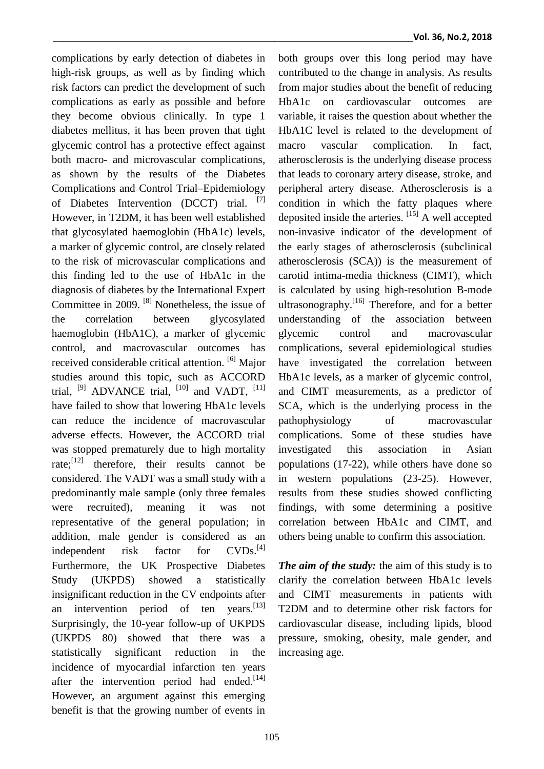complications by early detection of diabetes in high-risk groups, as well as by finding which risk factors can predict the development of such complications as early as possible and before they become obvious clinically. In type 1 diabetes mellitus, it has been proven that tight glycemic control has a protective effect against both macro- and microvascular complications, as shown by the results of the Diabetes Complications and Control Trial–Epidemiology of Diabetes Intervention (DCCT) trial. [7] However, in T2DM, it has been well established that glycosylated haemoglobin (HbA1c) levels, a marker of glycemic control, are closely related to the risk of microvascular complications and this finding led to the use of HbA1c in the diagnosis of diabetes by the International Expert Committee in 2009. [8] Nonetheless, the issue of the correlation between glycosylated haemoglobin (HbA1C), a marker of glycemic control, and macrovascular outcomes has received considerable critical attention. <sup>[6]</sup> Major studies around this topic, such as ACCORD trial,  $^{[9]}$  ADVANCE trial,  $^{[10]}$  and VADT,  $^{[11]}$ have failed to show that lowering HbA1c levels can reduce the incidence of macrovascular adverse effects. However, the ACCORD trial was stopped prematurely due to high mortality rate; $\begin{bmatrix} 1 & 2 \end{bmatrix}$  therefore, their results cannot be considered. The VADT was a small study with a predominantly male sample (only three females were recruited), meaning it was not representative of the general population; in addition, male gender is considered as an independent risk factor for  $CVDs.<sup>[4]</sup>$ Furthermore, the UK Prospective Diabetes Study (UKPDS) showed a statistically insignificant reduction in the CV endpoints after an intervention period of ten years. $^{[13]}$ Surprisingly, the 10-year follow-up of UKPDS (UKPDS 80) showed that there was a statistically significant reduction in the incidence of myocardial infarction ten years after the intervention period had ended.<sup>[14]</sup> However, an argument against this emerging benefit is that the growing number of events in

both groups over this long period may have contributed to the change in analysis. As results from major studies about the benefit of reducing HbA1c on cardiovascular outcomes are variable, it raises the question about whether the HbA1C level is related to the development of macro vascular complication. In fact, atherosclerosis is the underlying disease process that leads to coronary artery disease, stroke, and peripheral artery disease. Atherosclerosis is a condition in which the fatty plaques where deposited inside the arteries. [15] A well accepted non-invasive indicator of the development of the early stages of atherosclerosis (subclinical atherosclerosis (SCA)) is the measurement of carotid intima-media thickness (CIMT), which is calculated by using high-resolution B-mode ultrasonography.<sup>[16]</sup> Therefore, and for a better understanding of the association between glycemic control and macrovascular complications, several epidemiological studies have investigated the correlation between HbA1c levels, as a marker of glycemic control, and CIMT measurements, as a predictor of SCA, which is the underlying process in the pathophysiology of macrovascular complications. Some of these studies have investigated this association in Asian populations (17-22), while others have done so in western populations (23-25). However, results from these studies showed conflicting findings, with some determining a positive correlation between HbA1c and CIMT, and others being unable to confirm this association.

*The aim of the study:* the aim of this study is to clarify the correlation between HbA1c levels and CIMT measurements in patients with T2DM and to determine other risk factors for cardiovascular disease, including lipids, blood pressure, smoking, obesity, male gender, and increasing age.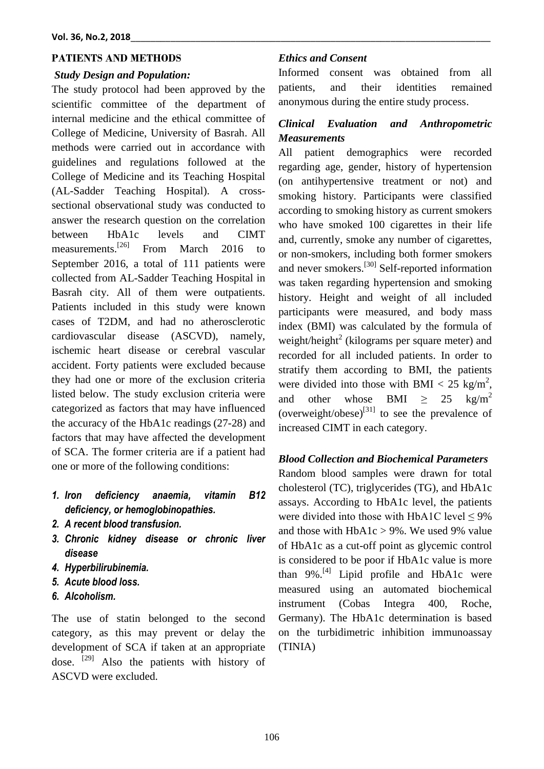### **PATIENTS AND METHODS**

#### *Study Design and Population:*

The study protocol had been approved by the scientific committee of the department of internal medicine and the ethical committee of College of Medicine, University of Basrah. All methods were carried out in accordance with guidelines and regulations followed at the College of Medicine and its Teaching Hospital (AL-Sadder Teaching Hospital). A crosssectional observational study was conducted to answer the research question on the correlation between HbA1c levels and CIMT measurements.<sup>[26]</sup> From March  $2016$  to September 2016, a total of 111 patients were collected from AL-Sadder Teaching Hospital in Basrah city. All of them were outpatients. Patients included in this study were known cases of T2DM, and had no atherosclerotic cardiovascular disease (ASCVD), namely, ischemic heart disease or cerebral vascular accident. Forty patients were excluded because they had one or more of the exclusion criteria listed below. The study exclusion criteria were categorized as factors that may have influenced the accuracy of the HbA1c readings (27-28) and factors that may have affected the development of SCA. The former criteria are if a patient had one or more of the following conditions:

- *1. Iron deficiency anaemia, vitamin B12 deficiency, or hemoglobinopathies.*
- *2. A recent blood transfusion.*
- *3. Chronic kidney disease or chronic liver disease*
- *4. Hyperbilirubinemia.*
- *5. Acute blood loss.*
- *6. Alcoholism.*

The use of statin belonged to the second category, as this may prevent or delay the development of SCA if taken at an appropriate dose. <sup>[29]</sup> Also the patients with history of ASCVD were excluded.

#### *Ethics and Consent*

Informed consent was obtained from all patients, and their identities remained anonymous during the entire study process.

## *Clinical Evaluation and Anthropometric Measurements*

All patient demographics were recorded regarding age, gender, history of hypertension (on antihypertensive treatment or not) and smoking history. Participants were classified according to smoking history as current smokers who have smoked 100 cigarettes in their life and, currently, smoke any number of cigarettes, or non-smokers, including both former smokers and never smokers.<sup>[30]</sup> Self-reported information was taken regarding hypertension and smoking history. Height and weight of all included participants were measured, and body mass index (BMI) was calculated by the formula of weight/height<sup>2</sup> (kilograms per square meter) and recorded for all included patients. In order to stratify them according to BMI, the patients were divided into those with BMI <  $25 \text{ kg/m}^2$ , and other whose BMI >  $25 \text{ kg/m}^2$ (overweight/obese) $^{[31]}$  to see the prevalence of increased CIMT in each category.

## *Blood Collection and Biochemical Parameters*

Random blood samples were drawn for total cholesterol (TC), triglycerides (TG), and HbA1c assays. According to HbA1c level, the patients were divided into those with HbA1C level  $\leq 9\%$ and those with  $HbA1c > 9%$ . We used 9% value of HbA1c as a cut-off point as glycemic control is considered to be poor if HbA1c value is more than 9%.<sup>[4]</sup> Lipid profile and HbA1c were measured using an automated biochemical instrument (Cobas Integra 400, Roche, Germany). The HbA1c determination is based on the turbidimetric inhibition immunoassay (TINIA)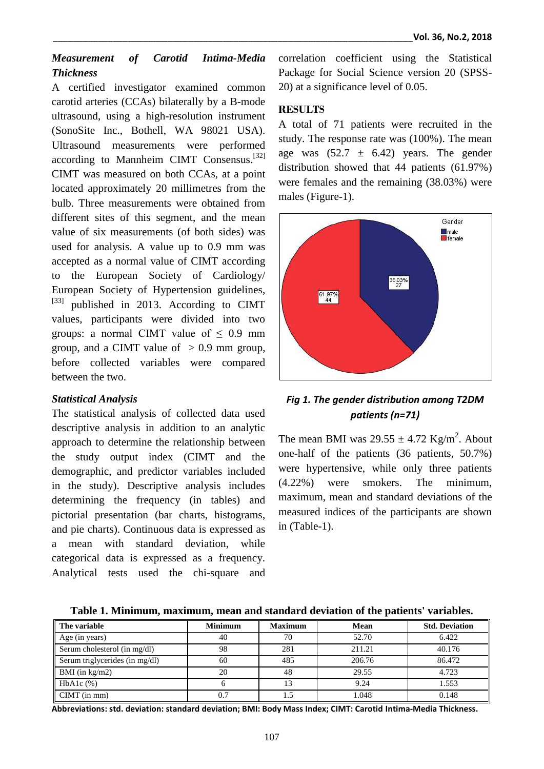## *Measurement of Carotid Intima-Media Thickness*

A certified investigator examined common carotid arteries (CCAs) bilaterally by a B-mode ultrasound, using a high-resolution instrument (SonoSite Inc., Bothell, WA 98021 USA). Ultrasound measurements were performed according to Mannheim CIMT Consensus.<sup>[32]</sup> CIMT was measured on both CCAs, at a point located approximately 20 millimetres from the bulb. Three measurements were obtained from different sites of this segment, and the mean value of six measurements (of both sides) was used for analysis. A value up to 0.9 mm was accepted as a normal value of CIMT according to the European Society of Cardiology/ European Society of Hypertension guidelines, <sup>[33]</sup> published in 2013. According to CIMT values, participants were divided into two groups: a normal CIMT value of  $\leq 0.9$  mm group, and a CIMT value of  $> 0.9$  mm group, before collected variables were compared between the two.

### *Statistical Analysis*

The statistical analysis of collected data used descriptive analysis in addition to an analytic approach to determine the relationship between the study output index (CIMT and the demographic, and predictor variables included in the study). Descriptive analysis includes determining the frequency (in tables) and pictorial presentation (bar charts, histograms, and pie charts). Continuous data is expressed as a mean with standard deviation, while categorical data is expressed as a frequency. Analytical tests used the chi-square and correlation coefficient using the Statistical Package for Social Science version 20 (SPSS-20) at a significance level of 0.05.

## **RESULTS**

A total of 71 patients were recruited in the study. The response rate was (100%). The mean age was  $(52.7 \pm 6.42)$  years. The gender distribution showed that 44 patients (61.97%) were females and the remaining (38.03%) were males (Figure-1).



## *Fig 1. The gender distribution among T2DM patients (n=71)*

The mean BMI was  $29.55 \pm 4.72$  Kg/m<sup>2</sup>. About one-half of the patients (36 patients, 50.7%) were hypertensive, while only three patients (4.22%) were smokers. The minimum, maximum, mean and standard deviations of the measured indices of the participants are shown in (Table-1).

| Table 1. Minimum, maximum, mean and standard deviation of the patients' variables. |  |  |  |  |
|------------------------------------------------------------------------------------|--|--|--|--|
|------------------------------------------------------------------------------------|--|--|--|--|

| The variable                   | <b>Minimum</b> | <b>Maximum</b> | Mean   | <b>Std. Deviation</b> |
|--------------------------------|----------------|----------------|--------|-----------------------|
| Age (in years)                 | 40             | 70             | 52.70  | 6.422                 |
| Serum cholesterol (in mg/dl)   | 98             | 281            | 211.21 | 40.176                |
| Serum triglycerides (in mg/dl) | 60             | 485            | 206.76 | 86.472                |
| BMI (in $\text{kg/m2}$ )       | 20             | 48             | 29.55  | 4.723                 |
| $HbA1c$ $%$                    |                | 13             | 9.24   | 1.553                 |
| $CIMT$ (in mm)                 | 0.7            |                | 1.048  | 0.148                 |

**Abbreviations: std. deviation: standard deviation; BMI: Body Mass Index; CIMT: Carotid Intima-Media Thickness.**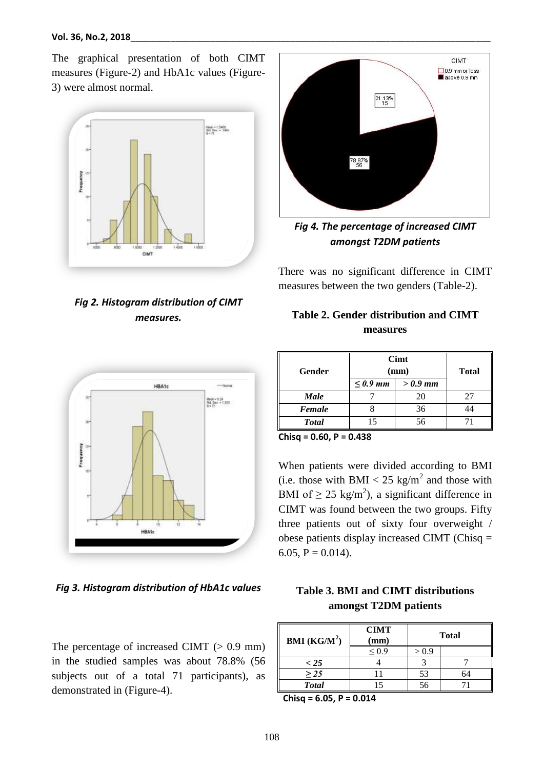The graphical presentation of both CIMT measures (Figure-2) and HbA1c values (Figure-3) were almost normal.



*Fig 2. Histogram distribution of CIMT measures.*



*Fig 3. Histogram distribution of HbA1c values*

The percentage of increased CIMT  $(> 0.9$  mm) in the studied samples was about 78.8% (56 subjects out of a total 71 participants), as demonstrated in (Figure-4).



*Fig 4. The percentage of increased CIMT amongst T2DM patients*

There was no significant difference in CIMT measures between the two genders (Table-2).

| Table 2. Gender distribution and CIMT |
|---------------------------------------|
| measures                              |

| Gender        | Cimt<br>(mm)  |           | <b>Total</b> |
|---------------|---------------|-----------|--------------|
|               | $\leq 0.9$ mm | $>0.9$ mm |              |
| <b>Male</b>   |               | 20        | 27           |
| Female        |               | 36        |              |
| <b>T</b> otal |               | 56        |              |

**Chisq = 0.60, P = 0.438**

When patients were divided according to BMI (i.e. those with BMI  $< 25 \text{ kg/m}^2$  and those with BMI of  $\geq 25 \text{ kg/m}^2$ , a significant difference in CIMT was found between the two groups. Fifty three patients out of sixty four overweight / obese patients display increased CIMT (Chisq = 6.05,  $P = 0.014$ ).

| Table 3. BMI and CIMT distributions |
|-------------------------------------|
| amongst T2DM patients               |

| <b>BMI</b> ( $KG/M^2$ ) | <b>CIMT</b><br>(mm) | <b>Total</b> |    |
|-------------------------|---------------------|--------------|----|
|                         | ${}^{<}0.9$         | > 0.9        |    |
| $<$ 25                  |                     |              |    |
| $\geq$ 25               |                     | 53           | 54 |
| <b>Total</b>            |                     |              |    |

**Chisq = 6.05, P = 0.014**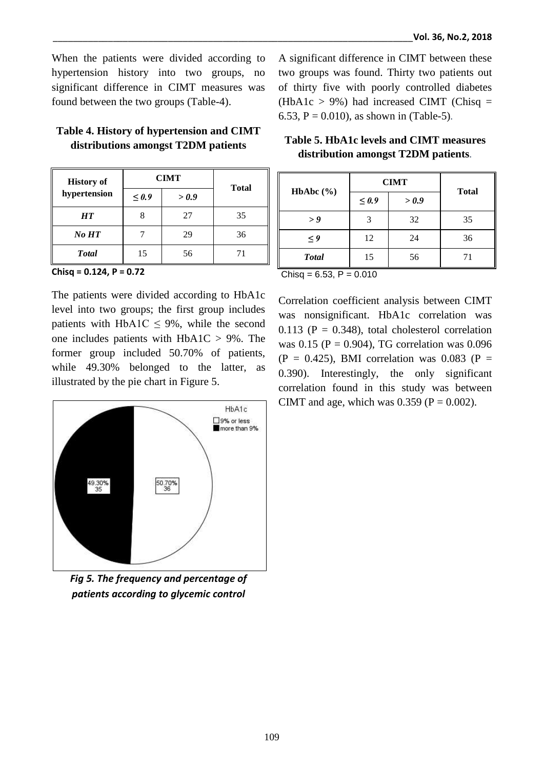When the patients were divided according to hypertension history into two groups, no significant difference in CIMT measures was found between the two groups (Table-4).

## **Table 4. History of hypertension and CIMT distributions amongst T2DM patients**

| <b>History of</b> | <b>CIMT</b>         |    | <b>Total</b> |
|-------------------|---------------------|----|--------------|
| hypertension      | $\leq 0.9$<br>> 0.9 |    |              |
| <b>HT</b>         |                     | 27 | 35           |
| No HT             |                     | 29 | 36           |
| <b>Total</b>      | 15                  | 56 | 71           |

**Chisq = 0.124, P = 0.72**

The patients were divided according to HbA1c level into two groups; the first group includes patients with HbA1C  $\leq$  9%, while the second one includes patients with HbA1C > 9%. The former group included 50.70% of patients, while 49.30% belonged to the latter, as illustrated by the pie chart in Figure 5.



*Fig 5. The frequency and percentage of patients according to glycemic control*

A significant difference in CIMT between these two groups was found. Thirty two patients out of thirty five with poorly controlled diabetes  $(HbA1c > 9%)$  had increased CIMT (Chisq = 6.53, P = 0.010), as shown in (Table-5)*.*

| HbAbc $(\% )$ | <b>CIMT</b> |       |              |
|---------------|-------------|-------|--------------|
|               | $\leq 0.9$  | > 0.9 | <b>Total</b> |
| > 9           |             | 32    | 35           |
| $\leq$ 9      | 12          | 24    | 36           |
| <b>Total</b>  | 15          | 56    |              |

| Table 5. HbA1c levels and CIMT measures |  |
|-----------------------------------------|--|
| distribution amongst T2DM patients.     |  |

| Chisq = $6.53$ , P = $0.010$ |  |  |  |
|------------------------------|--|--|--|
|------------------------------|--|--|--|

Correlation coefficient analysis between CIMT was nonsignificant. HbA1c correlation was  $0.113$  (P = 0.348), total cholesterol correlation was  $0.15$  (P = 0.904), TG correlation was 0.096  $(P = 0.425)$ , BMI correlation was 0.083 (P = 0.390). Interestingly, the only significant correlation found in this study was between CIMT and age, which was  $0.359$  (P = 0.002).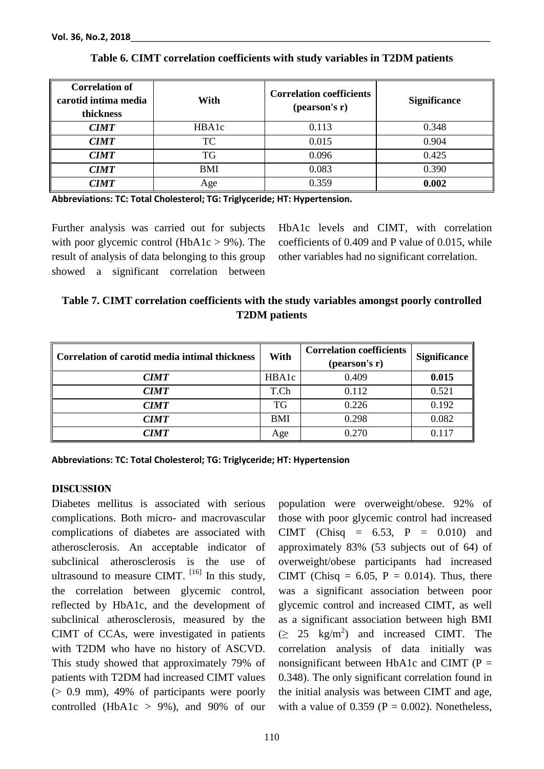| <b>Correlation of</b><br>carotid intima media<br>thickness | With         | <b>Correlation coefficients</b><br>(pearson's r) | <b>Significance</b> |
|------------------------------------------------------------|--------------|--------------------------------------------------|---------------------|
| <b>CIMT</b>                                                | <b>HBA1c</b> | 0.113                                            | 0.348               |
| <b>CIMT</b>                                                | <b>TC</b>    | 0.015                                            | 0.904               |
| <b>CIMT</b>                                                | <b>TG</b>    | 0.096                                            | 0.425               |
| <b>CIMT</b>                                                | BMI          | 0.083                                            | 0.390               |
| <b>CIMT</b>                                                | Age          | 0.359                                            | 0.002               |

#### **Table 6. CIMT correlation coefficients with study variables in T2DM patients**

**Abbreviations: TC: Total Cholesterol; TG: Triglyceride; HT: Hypertension.**

Further analysis was carried out for subjects with poor glycemic control (HbA1c  $> 9\%$ ). The result of analysis of data belonging to this group showed a significant correlation between

HbA1c levels and CIMT, with correlation coefficients of 0.409 and P value of 0.015, while other variables had no significant correlation.

| Table 7. CIMT correlation coefficients with the study variables amongst poorly controlled |
|-------------------------------------------------------------------------------------------|
| <b>T2DM</b> patients                                                                      |

| Correlation of carotid media intimal thickness | With  | <b>Correlation coefficients</b><br>(pearson's r) | <b>Significance</b> |
|------------------------------------------------|-------|--------------------------------------------------|---------------------|
| <b>CIMT</b>                                    | HBA1c | 0.409                                            | 0.015               |
| <b>CIMT</b>                                    | T.Ch  | 0.112                                            | 0.521               |
| <b>CIMT</b>                                    | TG    | 0.226                                            | 0.192               |
| <b>CIMT</b>                                    | BMI   | 0.298                                            | 0.082               |
| <i><b>CIMT</b></i>                             | Age   | 0.270                                            | 0.117               |

**Abbreviations: TC: Total Cholesterol; TG: Triglyceride; HT: Hypertension**

#### **DISCUSSION**

Diabetes mellitus is associated with serious complications. Both micro- and macrovascular complications of diabetes are associated with atherosclerosis. An acceptable indicator of subclinical atherosclerosis is the use of ultrasound to measure CIMT.  $^{[16]}$  In this study, the correlation between glycemic control, reflected by HbA1c, and the development of subclinical atherosclerosis, measured by the CIMT of CCAs, were investigated in patients with T2DM who have no history of ASCVD. This study showed that approximately 79% of patients with T2DM had increased CIMT values (> 0.9 mm), 49% of participants were poorly controlled (HbA1c  $> 9\%$ ), and 90% of our

population were overweight/obese. 92% of those with poor glycemic control had increased CIMT (Chisq = 6.53, P = 0.010) and approximately 83% (53 subjects out of 64) of overweight/obese participants had increased CIMT (Chisq =  $6.05$ , P =  $0.014$ ). Thus, there was a significant association between poor glycemic control and increased CIMT, as well as a significant association between high BMI  $( \geq 25 \text{ kg/m}^2 )$  and increased CIMT. The correlation analysis of data initially was nonsignificant between HbA1c and CIMT ( $P =$ 0.348). The only significant correlation found in the initial analysis was between CIMT and age, with a value of 0.359 ( $P = 0.002$ ). Nonetheless,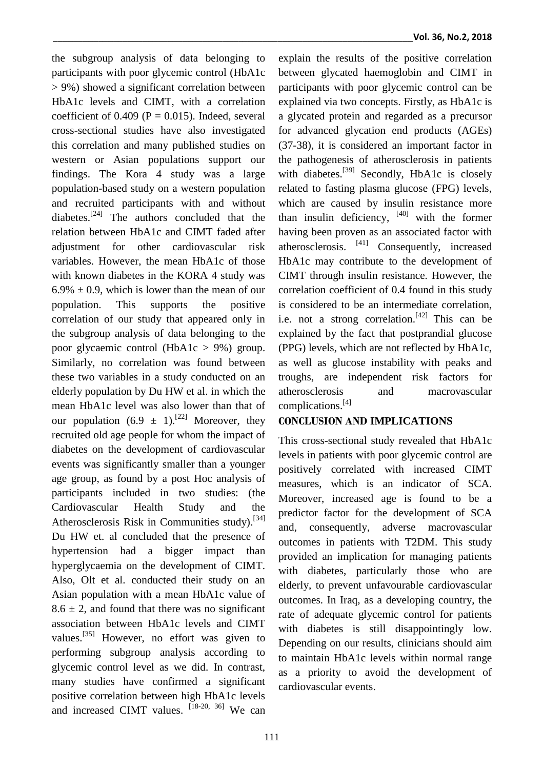the subgroup analysis of data belonging to participants with poor glycemic control (HbA1c > 9%) showed a significant correlation between HbA1c levels and CIMT, with a correlation coefficient of  $0.409$  (P = 0.015). Indeed, several cross-sectional studies have also investigated this correlation and many published studies on western or Asian populations support our findings. The Kora 4 study was a large population-based study on a western population and recruited participants with and without diabetes.<sup>[24]</sup> The authors concluded that the relation between HbA1c and CIMT faded after adjustment for other cardiovascular risk variables. However, the mean HbA1c of those with known diabetes in the KORA 4 study was  $6.9\% \pm 0.9$ , which is lower than the mean of our population. This supports the positive correlation of our study that appeared only in the subgroup analysis of data belonging to the poor glycaemic control (HbA1c > 9%) group. Similarly, no correlation was found between these two variables in a study conducted on an elderly population by Du HW et al. in which the mean HbA1c level was also lower than that of our population  $(6.9 \pm 1).^{[22]}$  Moreover, they recruited old age people for whom the impact of diabetes on the development of cardiovascular events was significantly smaller than a younger age group, as found by a post Hoc analysis of participants included in two studies: (the Cardiovascular Health Study and the Atherosclerosis Risk in Communities study).<sup>[34]</sup> Du HW et. al concluded that the presence of hypertension had a bigger impact than hyperglycaemia on the development of CIMT. Also, Olt et al. conducted their study on an Asian population with a mean HbA1c value of  $8.6 \pm 2$ , and found that there was no significant association between HbA1c levels and CIMT values.<sup>[35]</sup> However, no effort was given to performing subgroup analysis according to glycemic control level as we did. In contrast, many studies have confirmed a significant positive correlation between high HbA1c levels and increased CIMT values. [18-20, 36] We can explain the results of the positive correlation between glycated haemoglobin and CIMT in participants with poor glycemic control can be explained via two concepts. Firstly, as HbA1c is a glycated protein and regarded as a precursor for advanced glycation end products (AGEs) (37-38), it is considered an important factor in the pathogenesis of atherosclerosis in patients with diabetes.<sup>[39]</sup> Secondly, HbA1c is closely related to fasting plasma glucose (FPG) levels, which are caused by insulin resistance more than insulin deficiency,  $[40]$  with the former having been proven as an associated factor with atherosclerosis. <sup>[41]</sup> Consequently, increased HbA1c may contribute to the development of CIMT through insulin resistance. However, the correlation coefficient of 0.4 found in this study is considered to be an intermediate correlation, i.e. not a strong correlation.<sup>[42]</sup> This can be explained by the fact that postprandial glucose (PPG) levels, which are not reflected by HbA1c, as well as glucose instability with peaks and troughs, are independent risk factors for atherosclerosis and macrovascular complications. [4]

#### **CONCLUSION AND IMPLICATIONS**

This cross-sectional study revealed that HbA1c levels in patients with poor glycemic control are positively correlated with increased CIMT measures, which is an indicator of SCA. Moreover, increased age is found to be a predictor factor for the development of SCA and, consequently, adverse macrovascular outcomes in patients with T2DM. This study provided an implication for managing patients with diabetes, particularly those who are elderly, to prevent unfavourable cardiovascular outcomes. In Iraq, as a developing country, the rate of adequate glycemic control for patients with diabetes is still disappointingly low. Depending on our results, clinicians should aim to maintain HbA1c levels within normal range as a priority to avoid the development of cardiovascular events.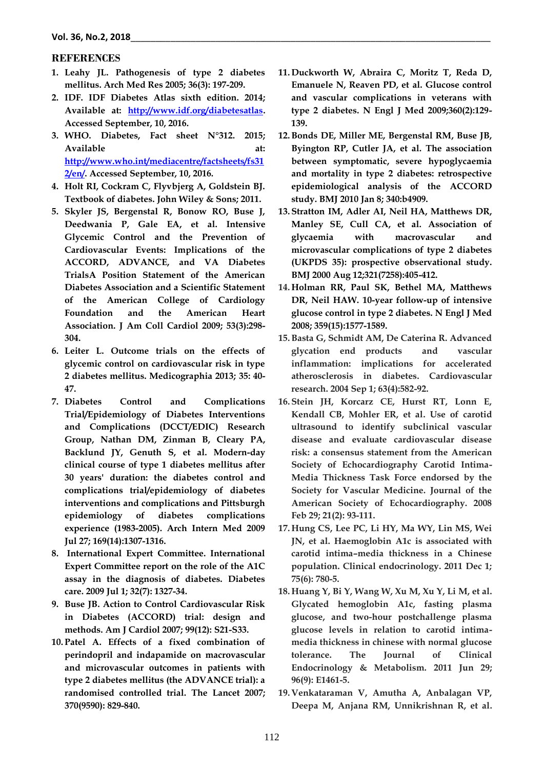#### **REFERENCES**

- **1. Leahy JL. Pathogenesis of type 2 diabetes mellitus. Arch Med Res 2005; 36(3): 197-209.**
- **2. IDF. IDF Diabetes Atlas sixth edition. 2014; Available at: [http://www.idf.org/diabetesatlas.](http://www.idf.org/diabetesatlas) Accessed September, 10, 2016.**
- **3. WHO. Diabetes, Fact sheet N°312. 2015;**  Available at: **[http://www.who.int/mediacentre/factsheets/fs31](http://www.who.int/mediacentre/factsheets/fs312/en/) [2/en/.](http://www.who.int/mediacentre/factsheets/fs312/en/) Accessed September, 10, 2016.**
- **4. Holt RI, Cockram C, Flyvbjerg A, Goldstein BJ. Textbook of diabetes. John Wiley & Sons; 2011.**
- **5. Skyler JS, Bergenstal R, Bonow RO, Buse J, Deedwania P, Gale EA, et al. Intensive Glycemic Control and the Prevention of Cardiovascular Events: Implications of the ACCORD, ADVANCE, and VA Diabetes TrialsA Position Statement of the American Diabetes Association and a Scientific Statement of the American College of Cardiology Foundation and the American Heart Association. J Am Coll Cardiol 2009; 53(3):298- 304.**
- **6. Leiter L. Outcome trials on the effects of glycemic control on cardiovascular risk in type 2 diabetes mellitus. Medicographia 2013; 35: 40- 47.**
- **7. Diabetes Control and Complications Trial/Epidemiology of Diabetes Interventions and Complications (DCCT/EDIC) Research Group, Nathan DM, Zinman B, Cleary PA, Backlund JY, Genuth S, et al. Modern-day clinical course of type 1 diabetes mellitus after 30 years' duration: the diabetes control and complications trial/epidemiology of diabetes interventions and complications and Pittsburgh epidemiology of diabetes complications experience (1983-2005). Arch Intern Med 2009 Jul 27; 169(14):1307-1316.**
- **8. International Expert Committee. International Expert Committee report on the role of the A1C assay in the diagnosis of diabetes. Diabetes care. 2009 Jul 1; 32(7): 1327-34.**
- **9. Buse JB. Action to Control Cardiovascular Risk in Diabetes (ACCORD) trial: design and methods. Am J Cardiol 2007; 99(12): S21-S33.**
- **10. Patel A. Effects of a fixed combination of perindopril and indapamide on macrovascular and microvascular outcomes in patients with type 2 diabetes mellitus (the ADVANCE trial): a randomised controlled trial. The Lancet 2007; 370(9590): 829-840.**
- **11. Duckworth W, Abraira C, Moritz T, Reda D, Emanuele N, Reaven PD, et al. Glucose control and vascular complications in veterans with type 2 diabetes. N Engl J Med 2009;360(2):129- 139.**
- **12.Bonds DE, Miller ME, Bergenstal RM, Buse JB, Byington RP, Cutler JA, et al. The association between symptomatic, severe hypoglycaemia and mortality in type 2 diabetes: retrospective epidemiological analysis of the ACCORD study. BMJ 2010 Jan 8; 340:b4909.**
- **13. Stratton IM, Adler AI, Neil HA, Matthews DR, Manley SE, Cull CA, et al. Association of glycaemia with macrovascular and microvascular complications of type 2 diabetes (UKPDS 35): prospective observational study. BMJ 2000 Aug 12;321(7258):405-412.**
- **14. Holman RR, Paul SK, Bethel MA, Matthews DR, Neil HAW. 10-year follow-up of intensive glucose control in type 2 diabetes. N Engl J Med 2008; 359(15):1577-1589.**
- **15.Basta G, Schmidt AM, De Caterina R. Advanced glycation end products and vascular inflammation: implications for accelerated atherosclerosis in diabetes. Cardiovascular research. 2004 Sep 1; 63(4):582-92.**
- **16. Stein JH, Korcarz CE, Hurst RT, Lonn E, Kendall CB, Mohler ER, et al. Use of carotid ultrasound to identify subclinical vascular disease and evaluate cardiovascular disease risk: a consensus statement from the American Society of Echocardiography Carotid Intima-Media Thickness Task Force endorsed by the Society for Vascular Medicine. Journal of the American Society of Echocardiography. 2008 Feb 29; 21(2): 93-111.**
- **17. Hung CS, Lee PC, Li HY, Ma WY, Lin MS, Wei JN, et al. Haemoglobin A1c is associated with carotid intima–media thickness in a Chinese population. Clinical endocrinology. 2011 Dec 1; 75(6): 780-5.**
- **18. Huang Y, Bi Y, Wang W, Xu M, Xu Y, Li M, et al. Glycated hemoglobin A1c, fasting plasma glucose, and two-hour postchallenge plasma glucose levels in relation to carotid intimamedia thickness in chinese with normal glucose tolerance. The Journal of Clinical Endocrinology & Metabolism. 2011 Jun 29; 96(9): E1461-5.**
- **19. Venkataraman V, Amutha A, Anbalagan VP, Deepa M, Anjana RM, Unnikrishnan R, et al.**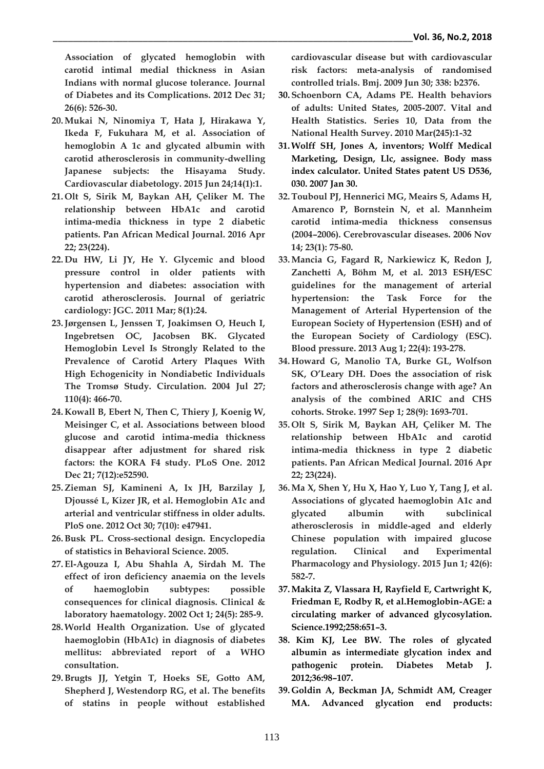**Association of glycated hemoglobin with carotid intimal medial thickness in Asian Indians with normal glucose tolerance. Journal of Diabetes and its Complications. 2012 Dec 31; 26(6): 526-30.**

- **20.Mukai N, Ninomiya T, Hata J, Hirakawa Y, Ikeda F, Fukuhara M, et al. Association of hemoglobin A 1c and glycated albumin with carotid atherosclerosis in community-dwelling Japanese subjects: the Hisayama Study. Cardiovascular diabetology. 2015 Jun 24;14(1):1.**
- **21. Olt S, Sirik M, Baykan AH, Çeliker M. The relationship between HbA1c and carotid intima-media thickness in type 2 diabetic patients. Pan African Medical Journal. 2016 Apr 22; 23(224).**
- **22. Du HW, Li JY, He Y. Glycemic and blood pressure control in older patients with hypertension and diabetes: association with carotid atherosclerosis. Journal of geriatric cardiology: JGC. 2011 Mar; 8(1):24.**
- **23.Jørgensen L, Jenssen T, Joakimsen O, Heuch I, Ingebretsen OC, Jacobsen BK. Glycated Hemoglobin Level Is Strongly Related to the Prevalence of Carotid Artery Plaques With High Echogenicity in Nondiabetic Individuals The Tromsø Study. Circulation. 2004 Jul 27; 110(4): 466-70.**
- **24. Kowall B, Ebert N, Then C, Thiery J, Koenig W, Meisinger C, et al. Associations between blood glucose and carotid intima-media thickness disappear after adjustment for shared risk factors: the KORA F4 study. PLoS One. 2012 Dec 21; 7(12):e52590.**
- **25.Zieman SJ, Kamineni A, Ix JH, Barzilay J, Djoussé L, Kizer JR, et al. Hemoglobin A1c and arterial and ventricular stiffness in older adults. PloS one. 2012 Oct 30; 7(10): e47941.**
- **26.Busk PL. Cross**‐**sectional design. Encyclopedia of statistics in Behavioral Science. 2005.**
- **27. El**‐**Agouza I, Abu Shahla A, Sirdah M. The effect of iron deficiency anaemia on the levels of haemoglobin subtypes: possible consequences for clinical diagnosis. Clinical & laboratory haematology. 2002 Oct 1; 24(5): 285-9.**
- **28.World Health Organization. Use of glycated haemoglobin (HbA1c) in diagnosis of diabetes mellitus: abbreviated report of a WHO consultation.**
- **29.Brugts JJ, Yetgin T, Hoeks SE, Gotto AM, Shepherd J, Westendorp RG, et al. The benefits of statins in people without established**

**cardiovascular disease but with cardiovascular risk factors: meta-analysis of randomised controlled trials. Bmj. 2009 Jun 30; 338: b2376.**

- **30. Schoenborn CA, Adams PE. Health behaviors of adults: United States, 2005-2007. Vital and Health Statistics. Series 10, Data from the National Health Survey. 2010 Mar(245):1-32**
- **31.Wolff SH, Jones A, inventors; Wolff Medical Marketing, Design, Llc, assignee. Body mass index calculator. United States patent US D536, 030. 2007 Jan 30.**
- **32.Touboul PJ, Hennerici MG, Meairs S, Adams H, Amarenco P, Bornstein N, et al. Mannheim carotid intima-media thickness consensus (2004–2006). Cerebrovascular diseases. 2006 Nov 14; 23(1): 75-80.**
- **33.Mancia G, Fagard R, Narkiewicz K, Redon J, Zanchetti A, Böhm M, et al. 2013 ESH/ESC guidelines for the management of arterial hypertension: the Task Force for the Management of Arterial Hypertension of the European Society of Hypertension (ESH) and of the European Society of Cardiology (ESC). Blood pressure. 2013 Aug 1; 22(4): 193-278.**
- **34. Howard G, Manolio TA, Burke GL, Wolfson SK, O'Leary DH. Does the association of risk factors and atherosclerosis change with age? An analysis of the combined ARIC and CHS cohorts. Stroke. 1997 Sep 1; 28(9): 1693-701.**
- **35. Olt S, Sirik M, Baykan AH, Çeliker M. The relationship between HbA1c and carotid intima-media thickness in type 2 diabetic patients. Pan African Medical Journal. 2016 Apr 22; 23(224).**
- **36.Ma X, Shen Y, Hu X, Hao Y, Luo Y, Tang J, et al. Associations of glycated haemoglobin A1c and glycated albumin with subclinical atherosclerosis in middle**‐**aged and elderly Chinese population with impaired glucose regulation. Clinical and Experimental Pharmacology and Physiology. 2015 Jun 1; 42(6): 582-7.**
- **37.Makita Z, Vlassara H, Rayfield E, Cartwright K, Friedman E, Rodby R, et al.Hemoglobin-AGE: a circulating marker of advanced glycosylation. Science.1992;258:651–3.**
- **38. Kim KJ, Lee BW. The roles of glycated albumin as intermediate glycation index and pathogenic protein. Diabetes Metab J. 2012;36:98–107.**
- **39. Goldin A, Beckman JA, Schmidt AM, Creager MA. Advanced glycation end products:**